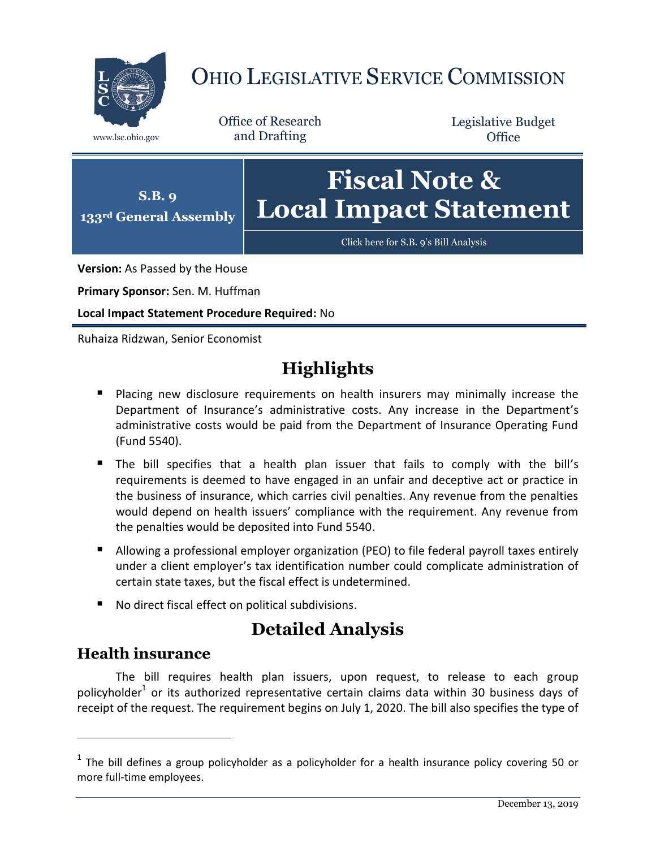

# OHIO LEGISLATIVE SERVICE COMMISSION

Office of Research www.lsc.ohio.gov and Drafting

Legislative Budget **Office** 



[Click here for S.B.](https://www.legislature.ohio.gov/legislation/legislation-documents?id=GA133-SB-9) 9's Bill Analysis

**Version:** As Passed by the House

**Primary Sponsor:** Sen. M. Huffman

**Local Impact Statement Procedure Required:** No

Ruhaiza Ridzwan, Senior Economist

## **Highlights**

- **Placing new disclosure requirements on health insurers may minimally increase the** Department of Insurance's administrative costs. Any increase in the Department's administrative costs would be paid from the Department of Insurance Operating Fund (Fund 5540).
- The bill specifies that a health plan issuer that fails to comply with the bill's requirements is deemed to have engaged in an unfair and deceptive act or practice in the business of insurance, which carries civil penalties. Any revenue from the penalties would depend on health issuers' compliance with the requirement. Any revenue from the penalties would be deposited into Fund 5540.
- Allowing a professional employer organization (PEO) to file federal payroll taxes entirely under a client employer's tax identification number could complicate administration of certain state taxes, but the fiscal effect is undetermined.
- No direct fiscal effect on political subdivisions.

## **Detailed Analysis**

### **Health insurance**

 $\overline{a}$ 

The bill requires health plan issuers, upon request, to release to each group policyholder<sup>1</sup> or its authorized representative certain claims data within 30 business days of receipt of the request. The requirement begins on July 1, 2020. The bill also specifies the type of

 $<sup>1</sup>$  The bill defines a group policyholder as a policyholder for a health insurance policy covering 50 or</sup> more full-time employees.